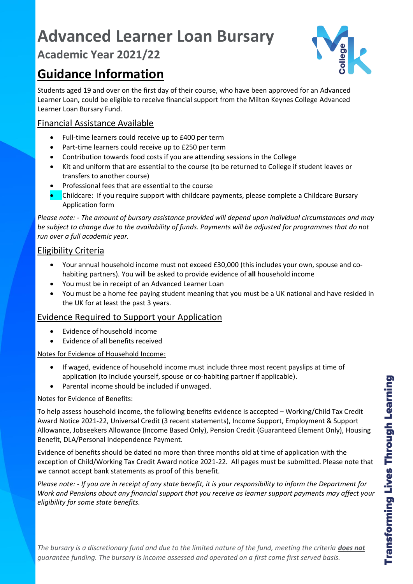# **Advanced Learner Loan Bursary**

# **Academic Year 2021/22**

# **Guidance Information**

llege

Students aged 19 and over on the first day of their course, who have been approved for an Advanced Learner Loan, could be eligible to receive financial support from the Milton Keynes College Advanced Learner Loan Bursary Fund.

# Financial Assistance Available

- Full-time learners could receive up to £400 per term
- Part-time learners could receive up to £250 per term
- Contribution towards food costs if you are attending sessions in the College
- Kit and uniform that are essential to the course (to be returned to College if student leaves or transfers to another course)
- Professional fees that are essential to the course
- Childcare: If you require support with childcare payments, please complete a Childcare Bursary Application form

*Please note: - The amount of bursary assistance provided will depend upon individual circumstances and may be subject to change due to the availability of funds. Payments will be adjusted for programmes that do not run over a full academic year.*

# Eligibility Criteria

- Your annual household income must not exceed £30,000 (this includes your own, spouse and cohabiting partners). You will be asked to provide evidence of **all** household income
- You must be in receipt of an Advanced Learner Loan
- You must be a home fee paying student meaning that you must be a UK national and have resided in the UK for at least the past 3 years.

## Evidence Required to Support your Application

- Evidence of household income
- Evidence of all benefits received

## Notes for Evidence of Household Income:

- If waged, evidence of household income must include three most recent payslips at time of application (to include yourself, spouse or co-habiting partner if applicable).
- Parental income should be included if unwaged.

## Notes for Evidence of Benefits:

To help assess household income, the following benefits evidence is accepted – Working/Child Tax Credit Award Notice 2021-22, Universal Credit (3 recent statements), Income Support, Employment & Support Allowance, Jobseekers Allowance (Income Based Only), Pension Credit (Guaranteed Element Only), Housing Benefit, DLA/Personal Independence Payment.

Evidence of benefits should be dated no more than three months old at time of application with the exception of Child/Working Tax Credit Award notice 2021-22. All pages must be submitted. Please note that we cannot accept bank statements as proof of this benefit.

*Please note: - If you are in receipt of any state benefit, it is your responsibility to inform the Department for Work and Pensions about any financial support that you receive as learner support payments may affect your eligibility for some state benefits.*

*The bursary is a discretionary fund and due to the limited nature of the fund, meeting the criteria does not guarantee funding. The bursary is income assessed and operated on a first come first served basis.*